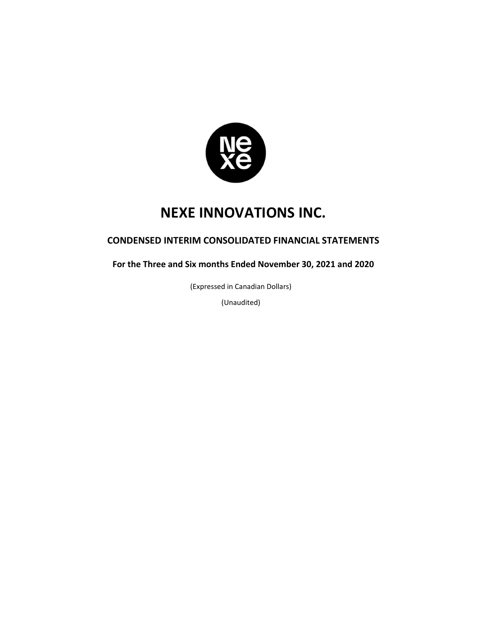

# **CONDENSED INTERIM CONSOLIDATED FINANCIAL STATEMENTS**

**For the Three and Six months Ended November 30, 2021 and 2020** 

(Expressed in Canadian Dollars)

(Unaudited)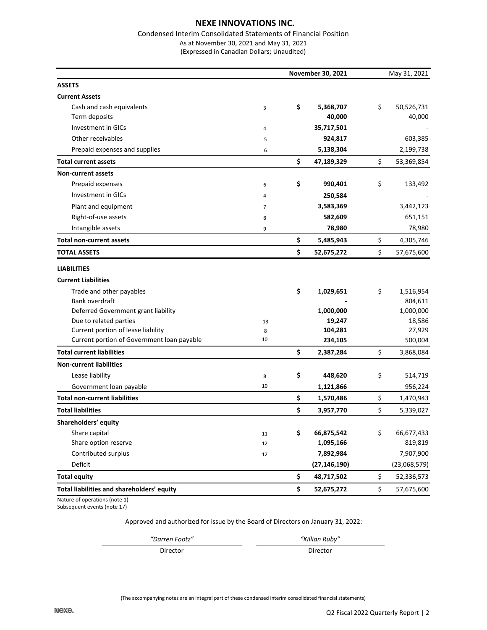#### Condensed Interim Consolidated Statements of Financial Position As at November 30, 2021 and May 31, 2021

(Expressed in Canadian Dollars; Unaudited)

|                                            | November 30, 2021 |    |                |    |              |
|--------------------------------------------|-------------------|----|----------------|----|--------------|
| <b>ASSETS</b>                              |                   |    |                |    |              |
| <b>Current Assets</b>                      |                   |    |                |    |              |
| Cash and cash equivalents                  | 3                 | \$ | 5,368,707      | \$ | 50,526,731   |
| Term deposits                              |                   |    | 40,000         |    | 40,000       |
| Investment in GICs                         | 4                 |    | 35,717,501     |    |              |
| Other receivables                          | 5                 |    | 924,817        |    | 603,385      |
| Prepaid expenses and supplies              | 6                 |    | 5,138,304      |    | 2,199,738    |
| <b>Total current assets</b>                |                   | \$ | 47,189,329     | \$ | 53,369,854   |
| <b>Non-current assets</b>                  |                   |    |                |    |              |
| Prepaid expenses                           | 6                 | \$ | 990,401        | \$ | 133,492      |
| Investment in GICs                         | 4                 |    | 250,584        |    |              |
| Plant and equipment                        | $\overline{7}$    |    | 3,583,369      |    | 3,442,123    |
| Right-of-use assets                        | 8                 |    | 582,609        |    | 651,151      |
| Intangible assets                          | 9                 |    | 78,980         |    | 78,980       |
| <b>Total non-current assets</b>            |                   | \$ | 5,485,943      | \$ | 4,305,746    |
| <b>TOTAL ASSETS</b>                        |                   | \$ | 52,675,272     | \$ | 57,675,600   |
| <b>LIABILITIES</b>                         |                   |    |                |    |              |
| <b>Current Liabilities</b>                 |                   |    |                |    |              |
| Trade and other payables                   |                   | \$ | 1,029,651      | \$ | 1,516,954    |
| Bank overdraft                             |                   |    |                |    | 804,611      |
| Deferred Government grant liability        |                   |    | 1,000,000      |    | 1,000,000    |
| Due to related parties                     | 13                |    | 19,247         |    | 18,586       |
| Current portion of lease liability         | 8                 |    | 104,281        |    | 27,929       |
| Current portion of Government loan payable | 10                |    | 234,105        |    | 500,004      |
| <b>Total current liabilities</b>           |                   | \$ | 2,387,284      | \$ | 3,868,084    |
| <b>Non-current liabilities</b>             |                   |    |                |    |              |
| Lease liability                            | 8                 | \$ | 448,620        | \$ | 514,719      |
| Government loan payable                    | 10                |    | 1,121,866      |    | 956,224      |
| <b>Total non-current liabilities</b>       |                   | \$ | 1,570,486      | \$ | 1,470,943    |
| <b>Total liabilities</b>                   |                   | \$ | 3,957,770      | \$ | 5,339,027    |
| Shareholders' equity                       |                   |    |                |    |              |
| Share capital                              | 11                | \$ | 66,875,542     | \$ | 66,677,433   |
| Share option reserve                       | 12                |    | 1,095,166      |    | 819,819      |
| Contributed surplus                        | 12                |    | 7,892,984      |    | 7,907,900    |
| Deficit                                    |                   |    | (27, 146, 190) |    | (23,068,579) |
| <b>Total equity</b>                        |                   | \$ | 48,717,502     | \$ | 52,336,573   |
| Total liabilities and shareholders' equity |                   | \$ | 52,675,272     | \$ | 57,675,600   |

Nature of operations (note 1) Subsequent events (note 17)

Approved and authorized for issue by the Board of Directors on January 31, 2022:

*"Darren Footz" "Killian Ruby"*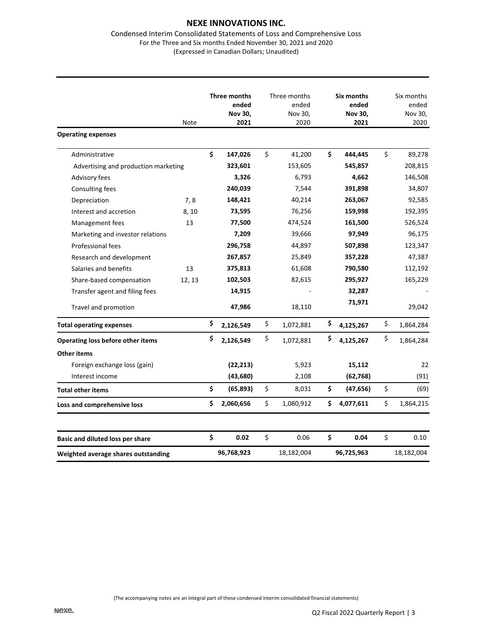#### Condensed Interim Consolidated Statements of Loss and Comprehensive Loss For the Three and Six months Ended November 30, 2021 and 2020 (Expressed in Canadian Dollars; Unaudited)

| <b>Operating expenses</b>            | Note   | Three months<br>ended<br>Nov 30,<br>2021 | Three months<br>ended<br>Nov 30,<br>2020 | Six months<br>ended<br>Nov 30,<br>2021 | Six months<br>ended<br>Nov 30,<br>2020 |
|--------------------------------------|--------|------------------------------------------|------------------------------------------|----------------------------------------|----------------------------------------|
| Administrative                       |        | \$<br>147,026                            | \$<br>41,200                             | \$<br>444,445                          | \$<br>89,278                           |
|                                      |        |                                          |                                          |                                        |                                        |
| Advertising and production marketing |        | 323,601<br>3,326                         | 153,605<br>6,793                         | 545,857<br>4,662                       | 208,815                                |
| Advisory fees                        |        |                                          |                                          |                                        | 146,508                                |
| Consulting fees                      |        | 240,039                                  | 7,544                                    | 391,898                                | 34,807                                 |
| Depreciation                         | 7,8    | 148,421                                  | 40,214                                   | 263,067                                | 92,585                                 |
| Interest and accretion               | 8, 10  | 73,595                                   | 76,256                                   | 159,998                                | 192,395                                |
| Management fees                      | 13     | 77,500                                   | 474,524                                  | 161,500                                | 526,524                                |
| Marketing and investor relations     |        | 7,209                                    | 39,666                                   | 97,949                                 | 96,175                                 |
| Professional fees                    |        | 296,758                                  | 44,897                                   | 507,898                                | 123,347                                |
| Research and development             |        | 267,857                                  | 25,849                                   | 357,228                                | 47,387                                 |
| Salaries and benefits                | 13     | 375,813                                  | 61,608                                   | 790,580                                | 112,192                                |
| Share-based compensation             | 12, 13 | 102,503                                  | 82,615                                   | 295,927                                | 165,229                                |
| Transfer agent and filing fees       |        | 14,915                                   |                                          | 32,287                                 |                                        |
| Travel and promotion                 |        | 47,986                                   | 18,110                                   | 71,971                                 | 29,042                                 |
| <b>Total operating expenses</b>      |        | \$<br>2,126,549                          | \$<br>1,072,881                          | \$<br>4,125,267                        | \$<br>1,864,284                        |
| Operating loss before other items    |        | \$<br>2,126,549                          | \$<br>1,072,881                          | \$<br>4,125,267                        | \$<br>1,864,284                        |
| <b>Other items</b>                   |        |                                          |                                          |                                        |                                        |
| Foreign exchange loss (gain)         |        | (22, 213)                                | 5,923                                    | 15,112                                 | 22                                     |
| Interest income                      |        | (43, 680)                                | 2,108                                    | (62, 768)                              | (91)                                   |
| <b>Total other items</b>             |        | \$<br>(65, 893)                          | \$<br>8,031                              | \$<br>(47, 656)                        | \$<br>(69)                             |
| Loss and comprehensive loss          |        | \$<br>2,060,656                          | \$<br>1,080,912                          | \$<br>4,077,611                        | \$<br>1,864,215                        |
| Basic and diluted loss per share     |        | \$<br>0.02                               | \$<br>0.06                               | \$<br>0.04                             | \$<br>0.10                             |
| Weighted average shares outstanding  |        | 96,768,923                               | 18,182,004                               | 96,725,963                             | 18,182,004                             |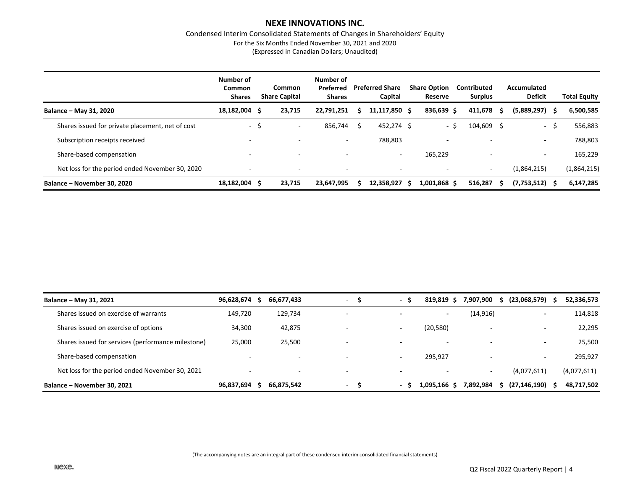Condensed Interim Consolidated Statements of Changes in Shareholders' Equity For the Six Months Ended November 30, 2021 and 2020 (Expressed in Canadian Dollars; Unaudited)

|                                                  | Number of<br>Common<br><b>Shares</b> |      | Common<br><b>Share Capital</b> | Number of<br>Preferred<br><b>Shares</b> |   | <b>Preferred Share</b><br>Capital |    | <b>Share Option</b><br><b>Reserve</b> | Contributed<br><b>Surplus</b> |     | Accumulated<br><b>Deficit</b> |      | <b>Total Equity</b> |
|--------------------------------------------------|--------------------------------------|------|--------------------------------|-----------------------------------------|---|-----------------------------------|----|---------------------------------------|-------------------------------|-----|-------------------------------|------|---------------------|
| Balance - May 31, 2020                           | 18,182,004                           | S    | 23.715                         | 22.791.251                              |   | 11,117,850 \$                     |    | 836,639 \$                            | 411.678                       | -S  | $(5,889,297)$ \$              |      | 6,500,585           |
| Shares issued for private placement, net of cost |                                      | - \$ | $\sim$                         | 856,744                                 | S | 452,274 \$                        |    | - 5                                   | 104,609                       | - S |                               | - \$ | 556,883             |
| Subscription receipts received                   |                                      |      | $\overline{\phantom{a}}$       | $\sim$                                  |   | 788,803                           |    | $\overline{\phantom{0}}$              |                               |     | $\overline{\phantom{a}}$      |      | 788,803             |
| Share-based compensation                         |                                      |      | $\overline{\phantom{a}}$       |                                         |   | $\overline{\phantom{0}}$          |    | 165,229                               |                               |     | $\overline{\phantom{a}}$      |      | 165,229             |
| Net loss for the period ended November 30, 2020  |                                      |      | $\overline{\phantom{a}}$       | $\overline{\phantom{0}}$                |   | $\overline{\phantom{0}}$          |    |                                       | $\overline{\phantom{a}}$      |     | (1,864,215)                   |      | (1,864,215)         |
| Balance – November 30, 2020                      | 18,182,004                           |      | 23,715                         | 23,647,995                              |   | 12.358.927                        | -S | 1,001,868 \$                          | 516.287                       |     | $(7,753,512)$ \$              |      | 6,147,285           |

| Balance - May 31, 2021                             | 96,628,674 | 66,677,433               | $\sim$ $\sim$            | - S                      | 819,819<br>-S.           | 7,907,900 | $(23,068,579)$ \$        | 52,336,573  |
|----------------------------------------------------|------------|--------------------------|--------------------------|--------------------------|--------------------------|-----------|--------------------------|-------------|
| Shares issued on exercise of warrants              | 149,720    | 129,734                  |                          |                          | $\overline{\phantom{a}}$ | (14,916)  |                          | 114,818     |
| Shares issued on exercise of options               | 34,300     | 42,875                   |                          |                          | (20, 580)                |           | $\sim$                   | 22,295      |
| Shares issued for services (performance milestone) | 25,000     | 25.500                   |                          | $\overline{\phantom{0}}$ | $\overline{\phantom{0}}$ | -         | $\overline{\phantom{0}}$ | 25,500      |
| Share-based compensation                           |            | -                        |                          |                          | 295,927                  |           | $\overline{\phantom{0}}$ | 295,927     |
| Net loss for the period ended November 30, 2021    |            | $\overline{\phantom{a}}$ | $\overline{\phantom{a}}$ | $\overline{\phantom{0}}$ |                          |           | (4,077,611)              | (4,077,611) |
| Balance – November 30, 2021                        | 96,837,694 | 66,875,542               | $\sim$                   | $-5$                     | 1,095,166 \$             | 7.892.984 | $(27, 146, 190)$ \$      | 48,717,502  |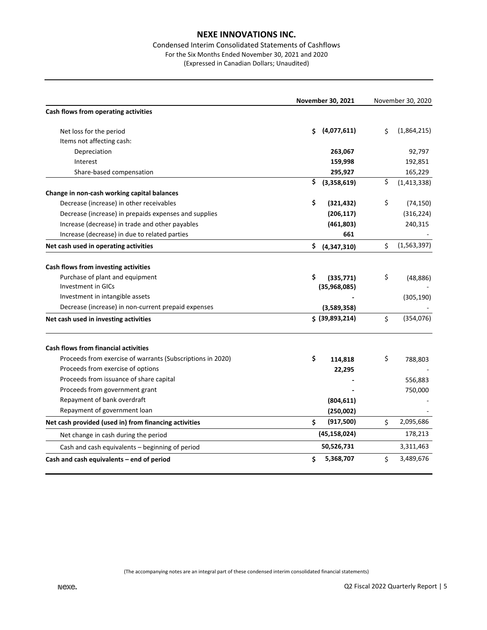# Condensed Interim Consolidated Statements of Cashflows For the Six Months Ended November 30, 2021 and 2020

(Expressed in Canadian Dollars; Unaudited)

|                                                            |    | November 30, 2021 | November 30, 2020 |               |  |
|------------------------------------------------------------|----|-------------------|-------------------|---------------|--|
| Cash flows from operating activities                       |    |                   |                   |               |  |
| Net loss for the period                                    | Ś  | (4,077,611)       | Ś                 | (1,864,215)   |  |
| Items not affecting cash:                                  |    |                   |                   |               |  |
| Depreciation                                               |    | 263,067           |                   | 92,797        |  |
| Interest                                                   |    | 159,998           |                   | 192,851       |  |
| Share-based compensation                                   |    | 295,927           |                   | 165,229       |  |
|                                                            | \$ | (3,358,619)       | \$                | (1, 413, 338) |  |
| Change in non-cash working capital balances                |    |                   |                   |               |  |
| Decrease (increase) in other receivables                   | \$ | (321, 432)        | \$                | (74, 150)     |  |
| Decrease (increase) in prepaids expenses and supplies      |    | (206, 117)        |                   | (316, 224)    |  |
| Increase (decrease) in trade and other payables            |    | (461, 803)        |                   | 240,315       |  |
| Increase (decrease) in due to related parties              |    | 661               |                   |               |  |
| Net cash used in operating activities                      | \$ | (4,347,310)       | \$                | (1, 563, 397) |  |
| Cash flows from investing activities                       |    |                   |                   |               |  |
| Purchase of plant and equipment                            | \$ | (335, 771)        | \$                | (48, 886)     |  |
| <b>Investment in GICs</b>                                  |    | (35,968,085)      |                   |               |  |
| Investment in intangible assets                            |    |                   |                   | (305, 190)    |  |
| Decrease (increase) in non-current prepaid expenses        |    | (3,589,358)       |                   |               |  |
| Net cash used in investing activities                      |    | \$ (39,893,214)   | \$                | (354, 076)    |  |
| <b>Cash flows from financial activities</b>                |    |                   |                   |               |  |
| Proceeds from exercise of warrants (Subscriptions in 2020) | \$ | 114,818           | \$                | 788,803       |  |
| Proceeds from exercise of options                          |    | 22,295            |                   |               |  |
| Proceeds from issuance of share capital                    |    |                   |                   | 556,883       |  |
| Proceeds from government grant                             |    |                   |                   | 750,000       |  |
| Repayment of bank overdraft                                |    | (804, 611)        |                   |               |  |
| Repayment of government loan                               |    | (250,002)         |                   |               |  |
| Net cash provided (used in) from financing activities      | \$ | (917, 500)        | \$                | 2,095,686     |  |
| Net change in cash during the period                       |    | (45, 158, 024)    |                   | 178,213       |  |
| Cash and cash equivalents - beginning of period            |    | 50,526,731        |                   | 3,311,463     |  |
| Cash and cash equivalents - end of period                  | \$ | 5,368,707         | \$                | 3,489,676     |  |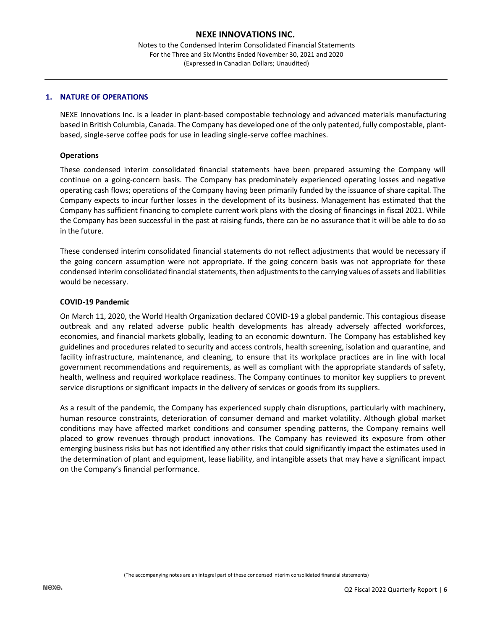Notes to the Condensed Interim Consolidated Financial Statements For the Three and Six Months Ended November 30, 2021 and 2020 (Expressed in Canadian Dollars; Unaudited)

#### **1. NATURE OF OPERATIONS**

NEXE Innovations Inc. is a leader in plant-based compostable technology and advanced materials manufacturing based in British Columbia, Canada. The Company has developed one of the only patented, fully compostable, plantbased, single-serve coffee pods for use in leading single-serve coffee machines.

#### **Operations**

These condensed interim consolidated financial statements have been prepared assuming the Company will continue on a going-concern basis. The Company has predominately experienced operating losses and negative operating cash flows; operations of the Company having been primarily funded by the issuance of share capital. The Company expects to incur further losses in the development of its business. Management has estimated that the Company has sufficient financing to complete current work plans with the closing of financings in fiscal 2021. While the Company has been successful in the past at raising funds, there can be no assurance that it will be able to do so in the future.

These condensed interim consolidated financial statements do not reflect adjustments that would be necessary if the going concern assumption were not appropriate. If the going concern basis was not appropriate for these condensed interim consolidated financial statements, then adjustments to the carrying values of assets and liabilities would be necessary.

#### **COVID-19 Pandemic**

On March 11, 2020, the World Health Organization declared COVID-19 a global pandemic. This contagious disease outbreak and any related adverse public health developments has already adversely affected workforces, economies, and financial markets globally, leading to an economic downturn. The Company has established key guidelines and procedures related to security and access controls, health screening, isolation and quarantine, and facility infrastructure, maintenance, and cleaning, to ensure that its workplace practices are in line with local government recommendations and requirements, as well as compliant with the appropriate standards of safety, health, wellness and required workplace readiness. The Company continues to monitor key suppliers to prevent service disruptions or significant impacts in the delivery of services or goods from its suppliers.

As a result of the pandemic, the Company has experienced supply chain disruptions, particularly with machinery, human resource constraints, deterioration of consumer demand and market volatility. Although global market conditions may have affected market conditions and consumer spending patterns, the Company remains well placed to grow revenues through product innovations. The Company has reviewed its exposure from other emerging business risks but has not identified any other risks that could significantly impact the estimates used in the determination of plant and equipment, lease liability, and intangible assets that may have a significant impact on the Company's financial performance.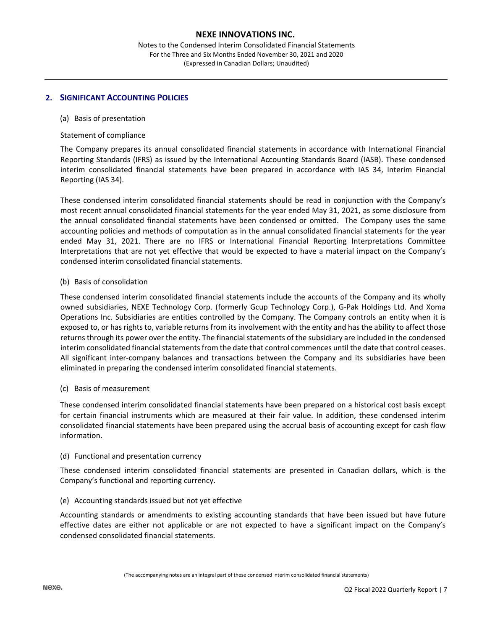Notes to the Condensed Interim Consolidated Financial Statements For the Three and Six Months Ended November 30, 2021 and 2020 (Expressed in Canadian Dollars; Unaudited)

## **2. SIGNIFICANT ACCOUNTING POLICIES**

## (a) Basis of presentation

#### Statement of compliance

The Company prepares its annual consolidated financial statements in accordance with International Financial Reporting Standards (IFRS) as issued by the International Accounting Standards Board (IASB). These condensed interim consolidated financial statements have been prepared in accordance with IAS 34, Interim Financial Reporting (IAS 34).

These condensed interim consolidated financial statements should be read in conjunction with the Company's most recent annual consolidated financial statements for the year ended May 31, 2021, as some disclosure from the annual consolidated financial statements have been condensed or omitted. The Company uses the same accounting policies and methods of computation as in the annual consolidated financial statements for the year ended May 31, 2021. There are no IFRS or International Financial Reporting Interpretations Committee Interpretations that are not yet effective that would be expected to have a material impact on the Company's condensed interim consolidated financial statements.

#### (b) Basis of consolidation

These condensed interim consolidated financial statements include the accounts of the Company and its wholly owned subsidiaries, NEXE Technology Corp. (formerly Gcup Technology Corp.), G-Pak Holdings Ltd. And Xoma Operations Inc. Subsidiaries are entities controlled by the Company. The Company controls an entity when it is exposed to, or has rights to, variable returns from its involvement with the entity and has the ability to affect those returns through its power over the entity. The financial statements of the subsidiary are included in the condensed interim consolidated financial statements from the date that control commences until the date that control ceases. All significant inter-company balances and transactions between the Company and its subsidiaries have been eliminated in preparing the condensed interim consolidated financial statements.

## (c) Basis of measurement

These condensed interim consolidated financial statements have been prepared on a historical cost basis except for certain financial instruments which are measured at their fair value. In addition, these condensed interim consolidated financial statements have been prepared using the accrual basis of accounting except for cash flow information.

## (d) Functional and presentation currency

These condensed interim consolidated financial statements are presented in Canadian dollars, which is the Company's functional and reporting currency.

## (e) Accounting standards issued but not yet effective

Accounting standards or amendments to existing accounting standards that have been issued but have future effective dates are either not applicable or are not expected to have a significant impact on the Company's condensed consolidated financial statements.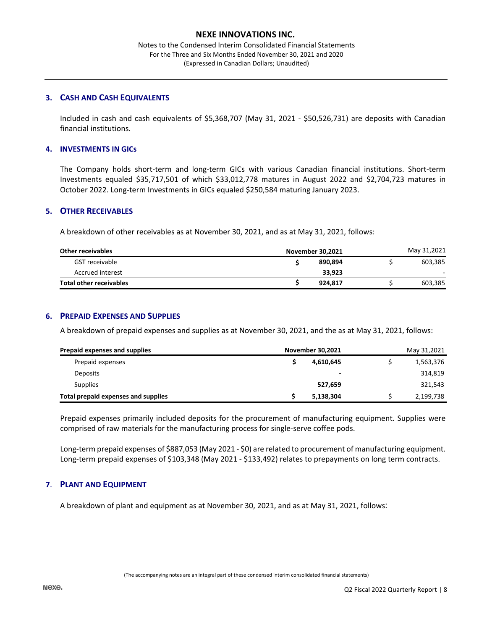Notes to the Condensed Interim Consolidated Financial Statements For the Three and Six Months Ended November 30, 2021 and 2020 (Expressed in Canadian Dollars; Unaudited)

## **3. CASH AND CASH EQUIVALENTS**

Included in cash and cash equivalents of \$5,368,707 (May 31, 2021 - \$50,526,731) are deposits with Canadian financial institutions.

# **4. INVESTMENTS IN GICs**

The Company holds short-term and long-term GICs with various Canadian financial institutions. Short-term Investments equaled \$35,717,501 of which \$33,012,778 matures in August 2022 and \$2,704,723 matures in October 2022. Long-term Investments in GICs equaled \$250,584 maturing January 2023.

# **5. OTHER RECEIVABLES**

A breakdown of other receivables as at November 30, 2021, and as at May 31, 2021, follows:

| <b>Other receivables</b>       | November 30,2021 | May 31,2021 |         |  |  |
|--------------------------------|------------------|-------------|---------|--|--|
| GST receivable                 | 890.894          |             | 603.385 |  |  |
| Accrued interest               | 33.923           |             |         |  |  |
| <b>Total other receivables</b> | 924.817          |             | 603.385 |  |  |

## **6. PREPAID EXPENSES AND SUPPLIES**

A breakdown of prepaid expenses and supplies as at November 30, 2021, and the as at May 31, 2021, follows:

| Prepaid expenses and supplies<br>November 30,2021 |  | May 31,2021              |  |           |
|---------------------------------------------------|--|--------------------------|--|-----------|
| Prepaid expenses                                  |  | 4,610,645                |  | 1,563,376 |
| Deposits                                          |  | $\overline{\phantom{0}}$ |  | 314,819   |
| Supplies                                          |  | 527.659                  |  | 321,543   |
| Total prepaid expenses and supplies               |  | 5,138,304                |  | 2,199,738 |

Prepaid expenses primarily included deposits for the procurement of manufacturing equipment. Supplies were comprised of raw materials for the manufacturing process for single-serve coffee pods.

Long-term prepaid expenses of \$887,053 (May 2021 - \$0) are related to procurement of manufacturing equipment. Long-term prepaid expenses of \$103,348 (May 2021 - \$133,492) relates to prepayments on long term contracts.

## **7**. **PLANT AND EQUIPMENT**

A breakdown of plant and equipment as at November 30, 2021, and as at May 31, 2021, follows: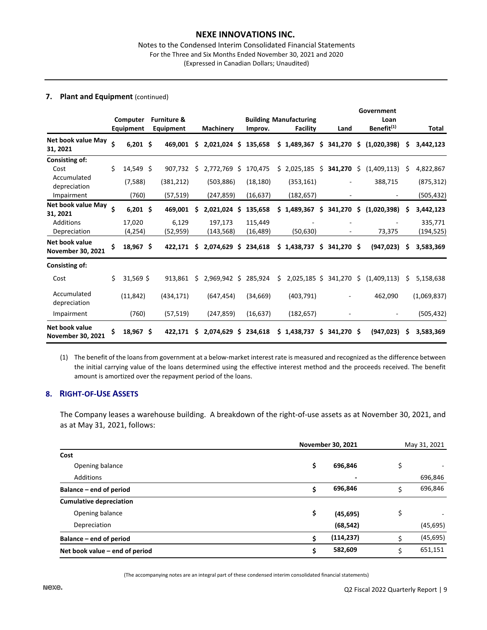#### Notes to the Condensed Interim Consolidated Financial Statements For the Three and Six Months Ended November 30, 2021 and 2020 (Expressed in Canadian Dollars; Unaudited)

#### **7. Plant and Equipment** (continued)

|                                            |    | Computer          |     | <b>Furniture &amp;</b> |     |                      |    |                      | <b>Building Manufacturing</b> |     |               |     | Government<br>Loan     |    |                      |
|--------------------------------------------|----|-------------------|-----|------------------------|-----|----------------------|----|----------------------|-------------------------------|-----|---------------|-----|------------------------|----|----------------------|
|                                            |    | Equipment         |     | Equipment              |     | <b>Machinery</b>     |    | Improv.              | Facility                      |     | Land          |     | Benefit <sup>(1)</sup> |    | Total                |
| Net book value May<br>31, 2021             | Ś  | $6,201$ \$        |     | 469.001                | S   | $2,021,024$ \$       |    | 135,658              | \$1,489,367                   | \$. | 341,270       | \$. | (1,020,398)            | S  | 3,442,123            |
| Consisting of:<br>Cost                     | Ś. | 14,549            | -Ś  | 907,732                | Ŝ   | 2,772,769            | Ŝ. | 170,475              | \$2,025,185                   | \$  | 341,270       | \$  | (1,409,113)            | S  | 4,822,867            |
| Accumulated<br>depreciation                |    | (7,588)           |     | (381, 212)             |     | (503, 886)           |    | (18, 180)            | (353, 161)                    |     |               |     | 388,715                |    | (875, 312)           |
| Impairment                                 |    | (760)             |     | (57, 519)              |     | (247, 859)           |    | (16, 637)            | (182, 657)                    |     |               |     |                        |    | (505, 432)           |
| Net book value May<br>31, 2021             | Ś  | $6,201$ \$        |     | 469,001                | Ś   | 2,021,024 \$         |    | 135,658              | \$<br>1,489,367               | \$  | 341,270       | \$  | (1,020,398)            | S  | 3,442,123            |
| Additions<br>Depreciation                  |    | 17,020<br>(4,254) |     | 6,129<br>(52,959)      |     | 197,173<br>(143,568) |    | 115,449<br>(16, 489) | (50, 630)                     |     |               |     | 73,375                 |    | 335,771<br>(194,525) |
| Net book value<br><b>November 30, 2021</b> | \$ | 18,967 \$         |     | 422,171                | \$. | 2,074,629 \$         |    | 234,618              | \$1,438,737                   |     | $$341,270$ \$ |     | (947, 023)             | S  | 3,583,369            |
| Consisting of:                             |    |                   |     |                        |     |                      |    |                      |                               |     |               |     |                        |    |                      |
| Cost                                       | Ś. | 31,569 \$         |     | 913,861                | Ŝ.  | 2,969,942 \$         |    | 285,924              | \$<br>$2,025,185$ \$          |     | 341,270       | \$  | (1,409,113)            | Ŝ. | 5,158,638            |
| Accumulated<br>depreciation                |    | (11, 842)         |     | (434, 171)             |     | (647, 454)           |    | (34, 669)            | (403, 791)                    |     |               |     | 462,090                |    | (1,069,837)          |
| Impairment                                 |    | (760)             |     | (57, 519)              |     | (247, 859)           |    | (16, 637)            | (182, 657)                    |     |               |     |                        |    | (505, 432)           |
| Net book value<br><b>November 30, 2021</b> | \$ | 18,967            | -\$ | 422.171                | S   | 2.074.629 \$         |    | 234,618              | \$1,438,737                   | S   | 341,270 \$    |     | (947.023)              | S  | 3,583,369            |

(1) The benefit of the loans from government at a below-market interest rate is measured and recognized as the difference between the initial carrying value of the loans determined using the effective interest method and the proceeds received. The benefit amount is amortized over the repayment period of the loans.

# **8. RIGHT-OF-USE ASSETS**

The Company leases a warehouse building. A breakdown of the right-of-use assets as at November 30, 2021, and as at May 31, 2021, follows:

|                                |    | <b>November 30, 2021</b> |    |           |  |  |
|--------------------------------|----|--------------------------|----|-----------|--|--|
| Cost                           |    |                          |    |           |  |  |
| Opening balance                | \$ | 696,846                  | \$ |           |  |  |
| Additions                      |    | $\blacksquare$           |    | 696,846   |  |  |
| Balance – end of period        | Ś  | 696,846                  | \$ | 696,846   |  |  |
| <b>Cumulative depreciation</b> |    |                          |    |           |  |  |
| Opening balance                | \$ | (45, 695)                | \$ |           |  |  |
| Depreciation                   |    | (68, 542)                |    | (45, 695) |  |  |
| Balance – end of period        |    | (114, 237)               | ς. | (45, 695) |  |  |
| Net book value – end of period | s  | 582,609                  | Ŝ. | 651,151   |  |  |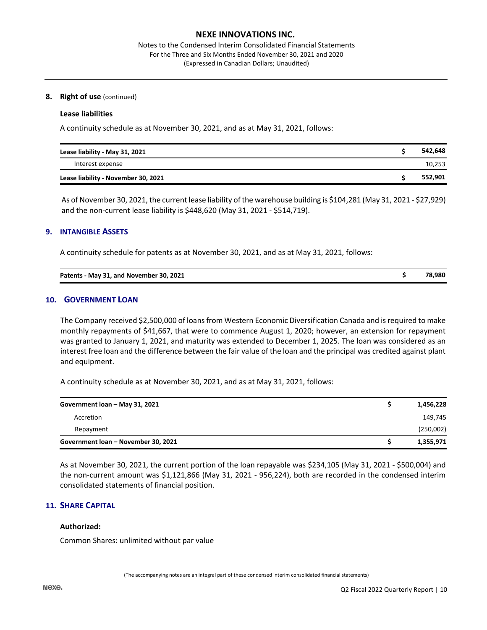Notes to the Condensed Interim Consolidated Financial Statements For the Three and Six Months Ended November 30, 2021 and 2020 (Expressed in Canadian Dollars; Unaudited)

## **8. Right of use** (continued)

#### **Lease liabilities**

A continuity schedule as at November 30, 2021, and as at May 31, 2021, follows:

| Lease liability - May 31, 2021      | 542,648 |
|-------------------------------------|---------|
| Interest expense                    | 10,253  |
| Lease liability - November 30, 2021 | 552,901 |

As of November 30, 2021, the current lease liability of the warehouse building is \$104,281 (May 31, 2021 - \$27,929) and the non-current lease liability is \$448,620 (May 31, 2021 - \$514,719).

#### **9. INTANGIBLE ASSETS**

A continuity schedule for patents as at November 30, 2021, and as at May 31, 2021, follows:

| Patents - May 31, and November 30, 2021 | 78,980 |
|-----------------------------------------|--------|
|                                         |        |

#### **10. GOVERNMENT LOAN**

The Company received \$2,500,000 of loans from Western Economic Diversification Canada and is required to make monthly repayments of \$41,667, that were to commence August 1, 2020; however, an extension for repayment was granted to January 1, 2021, and maturity was extended to December 1, 2025. The loan was considered as an interest free loan and the difference between the fair value of the loan and the principal was credited against plant and equipment.

A continuity schedule as at November 30, 2021, and as at May 31, 2021, follows:

| Government loan - May 31, 2021      | 1,456,228 |  |
|-------------------------------------|-----------|--|
| Accretion                           | 149,745   |  |
| Repayment                           | (250,002) |  |
| Government loan - November 30, 2021 | 1,355,971 |  |

As at November 30, 2021, the current portion of the loan repayable was \$234,105 (May 31, 2021 - \$500,004) and the non-current amount was \$1,121,866 (May 31, 2021 - 956,224), both are recorded in the condensed interim consolidated statements of financial position.

## **11. SHARE CAPITAL**

#### **Authorized:**

Common Shares: unlimited without par value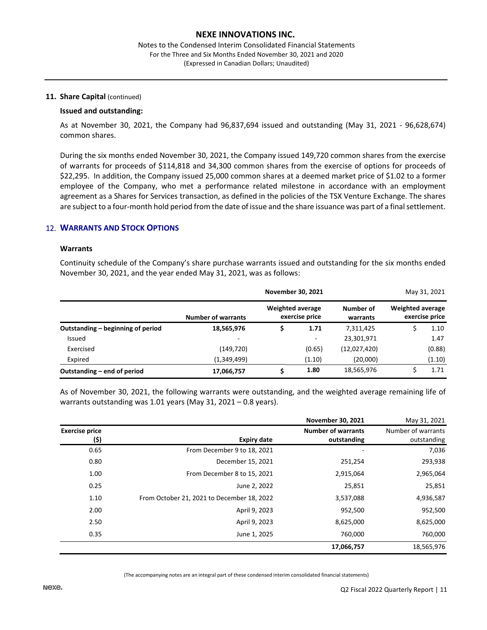#### 11. Share Capital (continued)

#### **Issued and outstanding:**

As at November 30, 2021, the Company had 96,837,694 issued and outstanding (May 31, 2021 - 96,628,674) common shares.

During the six months ended November 30, 2021, the Company issued 149,720 common shares from the exercise of warrants for proceeds of \$114,818 and 34,300 common shares from the exercise of options for proceeds of \$22,295. In addition, the Company issued 25,000 common shares at a deemed market price of \$1.02 to a former employee of the Company, who met a performance related milestone in accordance with an employment agreement as a Shares for Services transaction, as defined in the policies of the TSX Venture Exchange. The shares are subject to a four-month hold period from the date of issue and the share issuance was part of a final settlement.

# 12. **WARRANTS AND STOCK OPTIONS**

#### **Warrants**

Continuity schedule of the Company's share purchase warrants issued and outstanding for the six months ended November 30, 2021, and the year ended May 31, 2021, was as follows:

|                                   |                           | November 30, 2021       |                          |                       |                         | May 31, 2021   |
|-----------------------------------|---------------------------|-------------------------|--------------------------|-----------------------|-------------------------|----------------|
|                                   | <b>Number of warrants</b> | <b>Weighted average</b> | exercise price           | Number of<br>warrants | <b>Weighted average</b> | exercise price |
| Outstanding – beginning of period | 18,565,976                |                         | 1.71                     | 7,311,425             |                         | 1.10           |
| Issued                            | $\overline{\phantom{a}}$  |                         | $\overline{\phantom{a}}$ | 23,301,971            |                         | 1.47           |
| Exercised                         | (149, 720)                |                         | (0.65)                   | (12,027,420)          |                         | (0.88)         |
| Expired                           | (1,349,499)               |                         | (1.10)                   | (20,000)              |                         | (1.10)         |
| Outstanding – end of period       | 17,066,757                |                         | 1.80                     | 18,565,976            |                         | 1.71           |

As of November 30, 2021, the following warrants were outstanding, and the weighted average remaining life of warrants outstanding was 1.01 years (May 31, 2021 – 0.8 years).

|                               |                                            | <b>November 30, 2021</b>                 | May 31, 2021                      |
|-------------------------------|--------------------------------------------|------------------------------------------|-----------------------------------|
| <b>Exercise price</b><br>(\$) | <b>Expiry date</b>                         | <b>Number of warrants</b><br>outstanding | Number of warrants<br>outstanding |
| 0.65                          | From December 9 to 18, 2021                |                                          | 7,036                             |
| 0.80                          | December 15, 2021                          | 251,254                                  | 293,938                           |
| 1.00                          | From December 8 to 15, 2021                | 2,915,064                                | 2,965,064                         |
| 0.25                          | June 2, 2022                               | 25,851                                   | 25,851                            |
| 1.10                          | From October 21, 2021 to December 18, 2022 | 3,537,088                                | 4,936,587                         |
| 2.00                          | April 9, 2023                              | 952,500                                  | 952,500                           |
| 2.50                          | April 9, 2023                              | 8,625,000                                | 8,625,000                         |
| 0.35                          | June 1, 2025                               | 760,000                                  | 760,000                           |
|                               |                                            | 17,066,757                               | 18,565,976                        |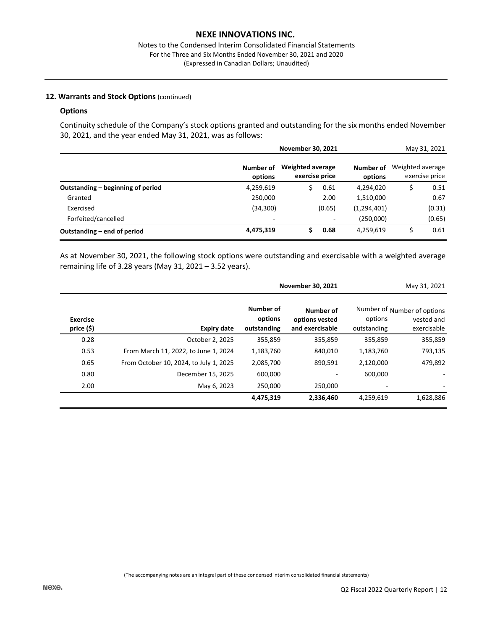# **12. Warrants and Stock Options** (continued)

#### **Options**

Continuity schedule of the Company's stock options granted and outstanding for the six months ended November 30, 2021, and the year ended May 31, 2021, was as follows:

|                                   |                      | <b>November 30, 2021</b>                  |                      | May 31, 2021                       |
|-----------------------------------|----------------------|-------------------------------------------|----------------------|------------------------------------|
|                                   | Number of<br>options | <b>Weighted average</b><br>exercise price | Number of<br>options | Weighted average<br>exercise price |
| Outstanding – beginning of period | 4,259,619            | 0.61<br>S                                 | 4,294,020            | \$<br>0.51                         |
| Granted                           | 250,000              | 2.00                                      | 1,510,000            | 0.67                               |
| Exercised                         | (34, 300)            | (0.65)                                    | (1, 294, 401)        | (0.31)                             |
| Forfeited/cancelled               | ۰                    |                                           | (250,000)            | (0.65)                             |
| Outstanding – end of period       | 4,475,319            | Ŝ.<br>0.68                                | 4,259,619            | \$<br>0.61                         |

As at November 30, 2021, the following stock options were outstanding and exercisable with a weighted average remaining life of 3.28 years (May 31, 2021 – 3.52 years).

|                        |                                        |                                     | November 30, 2021                              |                        | May 31, 2021                                             |
|------------------------|----------------------------------------|-------------------------------------|------------------------------------------------|------------------------|----------------------------------------------------------|
| Exercise<br>price (\$) | <b>Expiry date</b>                     | Number of<br>options<br>outstanding | Number of<br>options vested<br>and exercisable | options<br>outstanding | Number of Number of options<br>vested and<br>exercisable |
| 0.28                   | October 2, 2025                        | 355,859                             | 355,859                                        | 355,859                | 355,859                                                  |
| 0.53                   | From March 11, 2022, to June 1, 2024   | 1,183,760                           | 840,010                                        | 1,183,760              | 793,135                                                  |
| 0.65                   | From October 10, 2024, to July 1, 2025 | 2,085,700                           | 890,591                                        | 2,120,000              | 479,892                                                  |
| 0.80                   | December 15, 2025                      | 600,000                             |                                                | 600.000                |                                                          |
| 2.00                   | May 6, 2023                            | 250,000                             | 250,000                                        |                        |                                                          |
|                        |                                        | 4,475,319                           | 2,336,460                                      | 4,259,619              | 1,628,886                                                |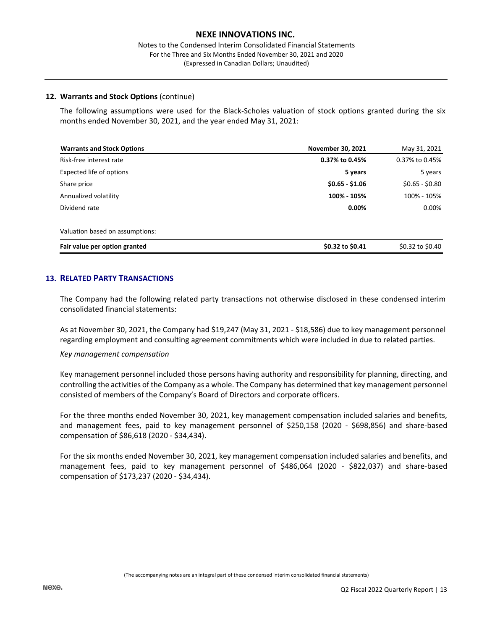#### Notes to the Condensed Interim Consolidated Financial Statements For the Three and Six Months Ended November 30, 2021 and 2020 (Expressed in Canadian Dollars; Unaudited)

#### **12. Warrants and Stock Options** (continue)

The following assumptions were used for the Black-Scholes valuation of stock options granted during the six months ended November 30, 2021, and the year ended May 31, 2021:

| <b>Warrants and Stock Options</b> | <b>November 30, 2021</b> | May 31, 2021     |
|-----------------------------------|--------------------------|------------------|
| Risk-free interest rate           | 0.37% to 0.45%           | 0.37% to 0.45%   |
| Expected life of options          | 5 years                  | 5 years          |
| Share price                       | $$0.65 - $1.06$          | $$0.65 - $0.80$  |
| Annualized volatility             | 100% - 105%              | 100% - 105%      |
| Dividend rate                     | 0.00%                    | 0.00%            |
| Valuation based on assumptions:   |                          |                  |
| Fair value per option granted     | \$0.32 to \$0.41         | \$0.32 to \$0.40 |

# **13. RELATED PARTY TRANSACTIONS**

The Company had the following related party transactions not otherwise disclosed in these condensed interim consolidated financial statements:

As at November 30, 2021, the Company had \$19,247 (May 31, 2021 - \$18,586) due to key management personnel regarding employment and consulting agreement commitments which were included in due to related parties.

#### *Key management compensation*

Key management personnel included those persons having authority and responsibility for planning, directing, and controlling the activities of the Company as a whole. The Company has determined that key management personnel consisted of members of the Company's Board of Directors and corporate officers.

For the three months ended November 30, 2021, key management compensation included salaries and benefits, and management fees, paid to key management personnel of \$250,158 (2020 - \$698,856) and share-based compensation of \$86,618 (2020 - \$34,434).

For the six months ended November 30, 2021, key management compensation included salaries and benefits, and management fees, paid to key management personnel of \$486,064 (2020 - \$822,037) and share-based compensation of \$173,237 (2020 - \$34,434).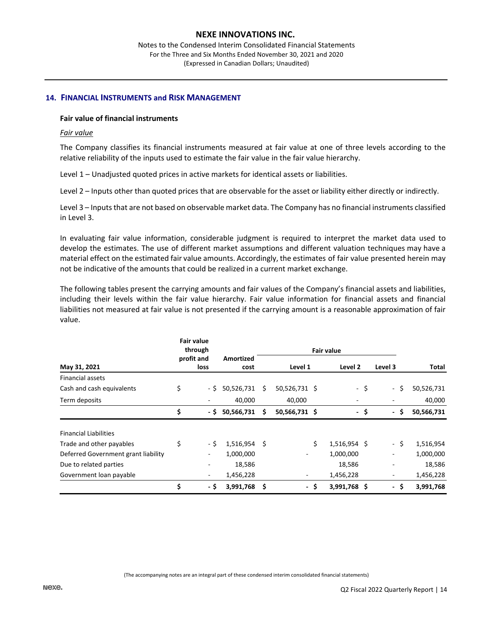Notes to the Condensed Interim Consolidated Financial Statements For the Three and Six Months Ended November 30, 2021 and 2020 (Expressed in Canadian Dollars; Unaudited)

#### **14. FINANCIAL INSTRUMENTS and RISK MANAGEMENT**

## **Fair value of financial instruments**

#### *Fair value*

The Company classifies its financial instruments measured at fair value at one of three levels according to the relative reliability of the inputs used to estimate the fair value in the fair value hierarchy.

Level 1 – Unadjusted quoted prices in active markets for identical assets or liabilities.

Level 2 – Inputs other than quoted prices that are observable for the asset or liability either directly or indirectly.

Level 3 – Inputs that are not based on observable market data. The Company has no financial instruments classified in Level 3.

In evaluating fair value information, considerable judgment is required to interpret the market data used to develop the estimates. The use of different market assumptions and different valuation techniques may have a material effect on the estimated fair value amounts. Accordingly, the estimates of fair value presented herein may not be indicative of the amounts that could be realized in a current market exchange.

The following tables present the carrying amounts and fair values of the Company's financial assets and liabilities, including their levels within the fair value hierarchy. Fair value information for financial assets and financial liabilities not measured at fair value is not presented if the carrying amount is a reasonable approximation of fair value.

|                                     | <b>Fair value</b><br>through |      |                          | <b>Fair value</b> |               |      |                          |    |                                 |            |
|-------------------------------------|------------------------------|------|--------------------------|-------------------|---------------|------|--------------------------|----|---------------------------------|------------|
| May 31, 2021                        | profit and<br>loss           |      | <b>Amortized</b><br>cost | Level 1           |               |      | Level 2                  |    | Level 3                         | Total      |
| <b>Financial assets</b>             |                              |      |                          |                   |               |      |                          |    |                                 |            |
| Cash and cash equivalents           | \$                           | - \$ | 50,526,731               | S                 | 50,526,731 \$ |      | -\$                      |    | - \$                            | 50,526,731 |
| Term deposits                       |                              |      | 40,000                   |                   | 40,000        |      | $\overline{\phantom{a}}$ |    |                                 | 40,000     |
|                                     | \$                           | - \$ | 50,566,731               | \$                | 50,566,731 \$ |      | $\sim$                   | \$ | \$.<br>$\overline{\phantom{0}}$ | 50,566,731 |
| <b>Financial Liabilities</b>        |                              |      |                          |                   |               |      |                          |    |                                 |            |
| Trade and other payables            | \$                           | - \$ | 1,516,954                | -Ś                |               | Ś.   | 1,516,954 \$             |    | - \$                            | 1,516,954  |
| Deferred Government grant liability |                              |      | 1,000,000                |                   |               |      | 1,000,000                |    | $\overline{\phantom{a}}$        | 1,000,000  |
| Due to related parties              |                              |      | 18,586                   |                   |               |      | 18,586                   |    |                                 | 18,586     |
| Government loan payable             |                              |      | 1,456,228                |                   | -             |      | 1,456,228                |    | $\overline{\phantom{m}}$        | 1,456,228  |
|                                     | \$                           | - \$ | 3,991,768                | \$.               |               | - \$ | 3,991,768 \$             |    | - \$                            | 3,991,768  |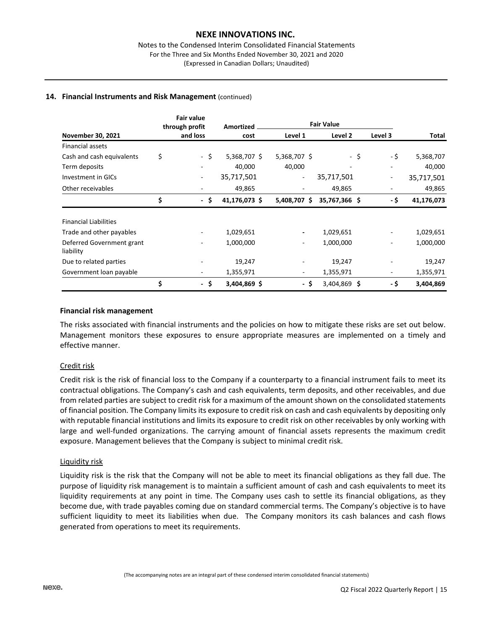## **14. Financial Instruments and Risk Management** (continued)

|                                        | <b>Fair value</b><br>through profit | Amortized     | <b>Fair Value</b> |               |         |            |
|----------------------------------------|-------------------------------------|---------------|-------------------|---------------|---------|------------|
| November 30, 2021                      | and loss                            | cost          | Level 1           | Level 2       | Level 3 | Total      |
| <b>Financial assets</b>                |                                     |               |                   |               |         |            |
| Cash and cash equivalents              | \$<br>- \$                          | 5,368,707 \$  | 5,368,707 \$      | -\$           | - \$    | 5,368,707  |
| Term deposits                          |                                     | 40,000        | 40,000            |               |         | 40,000     |
| <b>Investment in GICs</b>              | ٠                                   | 35,717,501    | ۰                 | 35,717,501    | ۰.      | 35,717,501 |
| Other receivables                      | ٠                                   | 49,865        |                   | 49,865        |         | 49,865     |
|                                        | \$<br>- \$                          | 41,176,073 \$ | 5,408,707 \$      | 35,767,366 \$ | - \$    | 41,176,073 |
| <b>Financial Liabilities</b>           |                                     |               |                   |               |         |            |
| Trade and other payables               |                                     | 1,029,651     |                   | 1,029,651     |         | 1,029,651  |
| Deferred Government grant<br>liability |                                     | 1,000,000     |                   | 1,000,000     |         | 1,000,000  |
| Due to related parties                 |                                     | 19,247        |                   | 19,247        |         | 19,247     |
| Government loan payable                | -                                   | 1,355,971     |                   | 1,355,971     | ۰.      | 1,355,971  |
|                                        | \$<br>- \$                          | 3,404,869 \$  | -\$               | 3,404,869 \$  | - \$    | 3,404,869  |

#### **Financial risk management**

The risks associated with financial instruments and the policies on how to mitigate these risks are set out below. Management monitors these exposures to ensure appropriate measures are implemented on a timely and effective manner.

## Credit risk

Credit risk is the risk of financial loss to the Company if a counterparty to a financial instrument fails to meet its contractual obligations. The Company's cash and cash equivalents, term deposits, and other receivables, and due from related parties are subject to credit risk for a maximum of the amount shown on the consolidated statements of financial position. The Company limits its exposure to credit risk on cash and cash equivalents by depositing only with reputable financial institutions and limits its exposure to credit risk on other receivables by only working with large and well-funded organizations. The carrying amount of financial assets represents the maximum credit exposure. Management believes that the Company is subject to minimal credit risk.

## Liquidity risk

Liquidity risk is the risk that the Company will not be able to meet its financial obligations as they fall due. The purpose of liquidity risk management is to maintain a sufficient amount of cash and cash equivalents to meet its liquidity requirements at any point in time. The Company uses cash to settle its financial obligations, as they become due, with trade payables coming due on standard commercial terms. The Company's objective is to have sufficient liquidity to meet its liabilities when due. The Company monitors its cash balances and cash flows generated from operations to meet its requirements.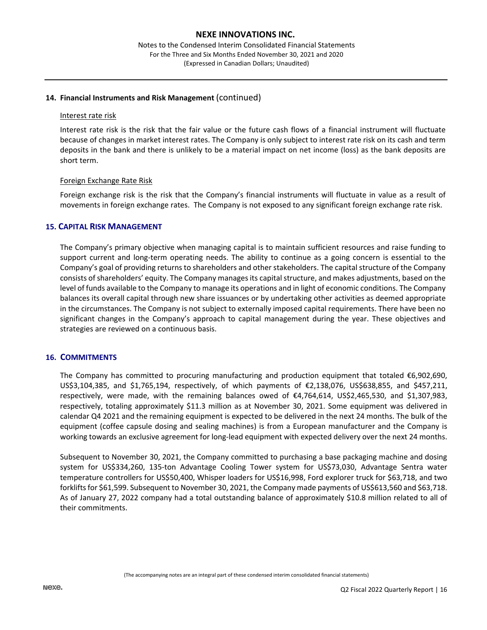# **14. Financial Instruments and Risk Management** (continued)

#### Interest rate risk

Interest rate risk is the risk that the fair value or the future cash flows of a financial instrument will fluctuate because of changes in market interest rates. The Company is only subject to interest rate risk on its cash and term deposits in the bank and there is unlikely to be a material impact on net income (loss) as the bank deposits are short term.

## Foreign Exchange Rate Risk

Foreign exchange risk is the risk that the Company's financial instruments will fluctuate in value as a result of movements in foreign exchange rates. The Company is not exposed to any significant foreign exchange rate risk.

## **15. CAPITAL RISK MANAGEMENT**

The Company's primary objective when managing capital is to maintain sufficient resources and raise funding to support current and long-term operating needs. The ability to continue as a going concern is essential to the Company's goal of providing returns to shareholders and other stakeholders. The capital structure of the Company consists of shareholders' equity. The Company manages its capital structure, and makes adjustments, based on the level of funds available to the Company to manage its operations and in light of economic conditions. The Company balances its overall capital through new share issuances or by undertaking other activities as deemed appropriate in the circumstances. The Company is not subject to externally imposed capital requirements. There have been no significant changes in the Company's approach to capital management during the year. These objectives and strategies are reviewed on a continuous basis.

## **16. COMMITMENTS**

The Company has committed to procuring manufacturing and production equipment that totaled €6,902,690, US\$3,104,385, and \$1,765,194, respectively, of which payments of €2,138,076, US\$638,855, and \$457,211, respectively, were made, with the remaining balances owed of €4,764,614, US\$2,465,530, and \$1,307,983, respectively, totaling approximately \$11.3 million as at November 30, 2021. Some equipment was delivered in calendar Q4 2021 and the remaining equipment is expected to be delivered in the next 24 months. The bulk of the equipment (coffee capsule dosing and sealing machines) is from a European manufacturer and the Company is working towards an exclusive agreement for long-lead equipment with expected delivery over the next 24 months.

Subsequent to November 30, 2021, the Company committed to purchasing a base packaging machine and dosing system for US\$334,260, 135-ton Advantage Cooling Tower system for US\$73,030, Advantage Sentra water temperature controllers for US\$50,400, Whisper loaders for US\$16,998, Ford explorer truck for \$63,718, and two forklifts for \$61,599. Subsequent to November 30, 2021, the Company made payments of US\$613,560 and \$63,718. As of January 27, 2022 company had a total outstanding balance of approximately \$10.8 million related to all of their commitments.